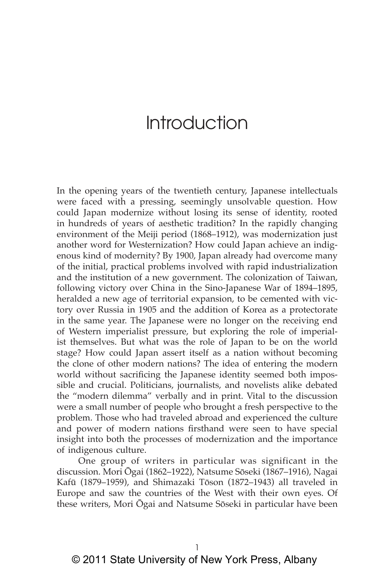In the opening years of the twentieth century, Japanese intellectuals were faced with a pressing, seemingly unsolvable question. How could Japan modernize without losing its sense of identity, rooted in hundreds of years of aesthetic tradition? In the rapidly changing environment of the Meiji period (1868–1912), was modernization just another word for Westernization? How could Japan achieve an indigenous kind of modernity? By 1900, Japan already had overcome many of the initial, practical problems involved with rapid industrialization and the institution of a new government. The colonization of Taiwan, following victory over China in the Sino-Japanese War of 1894–1895, heralded a new age of territorial expansion, to be cemented with victory over Russia in 1905 and the addition of Korea as a protectorate in the same year. The Japanese were no longer on the receiving end of Western imperialist pressure, but exploring the role of imperialist themselves. But what was the role of Japan to be on the world stage? How could Japan assert itself as a nation without becoming the clone of other modern nations? The idea of entering the modern world without sacrificing the Japanese identity seemed both impossible and crucial. Politicians, journalists, and novelists alike debated the "modern dilemma" verbally and in print. Vital to the discussion were a small number of people who brought a fresh perspective to the problem. Those who had traveled abroad and experienced the culture and power of modern nations firsthand were seen to have special insight into both the processes of modernization and the importance of indigenous culture.

One group of writers in particular was significant in the discussion. Mori Ōgai (1862–1922), Natsume Sōseki (1867–1916), Nagai Kafū (1879–1959), and Shimazaki Tōson (1872–1943) all traveled in Europe and saw the countries of the West with their own eyes. Of these writers, Mori Ōgai and Natsume Sōseki in particular have been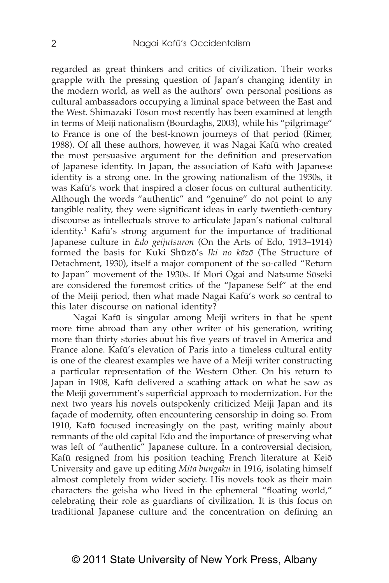regarded as great thinkers and critics of civilization. Their works grapple with the pressing question of Japan's changing identity in the modern world, as well as the authors' own personal positions as cultural ambassadors occupying a liminal space between the East and the West. Shimazaki Tōson most recently has been examined at length in terms of Meiji nationalism (Bourdaghs, 2003), while his "pilgrimage" to France is one of the best-known journeys of that period (Rimer, 1988). Of all these authors, however, it was Nagai Kafū who created the most persuasive argument for the definition and preservation of Japanese identity. In Japan, the association of Kafū with Japanese identity is a strong one. In the growing nationalism of the 1930s, it was Kafū's work that inspired a closer focus on cultural authenticity. Although the words "authentic" and "genuine" do not point to any tangible reality, they were significant ideas in early twentieth-century discourse as intellectuals strove to articulate Japan's national cultural identity.1 Kafū's strong argument for the importance of traditional Japanese culture in *Edo geijutsuron* (On the Arts of Edo, 1913–1914) formed the basis for Kuki Shūzō's *Iki no kōzō* (The Structure of Detachment, 1930), itself a major component of the so-called "Return to Japan" movement of the 1930s. If Mori Ōgai and Natsume Sōseki are considered the foremost critics of the "Japanese Self" at the end of the Meiji period, then what made Nagai Kafū's work so central to this later discourse on national identity?

Nagai Kafū is singular among Meiji writers in that he spent more time abroad than any other writer of his generation, writing more than thirty stories about his five years of travel in America and France alone. Kafū's elevation of Paris into a timeless cultural entity is one of the clearest examples we have of a Meiji writer constructing a particular representation of the Western Other. On his return to Japan in 1908, Kafū delivered a scathing attack on what he saw as the Meiji government's superficial approach to modernization. For the next two years his novels outspokenly criticized Meiji Japan and its façade of modernity, often encountering censorship in doing so. From 1910, Kafū focused increasingly on the past, writing mainly about remnants of the old capital Edo and the importance of preserving what was left of "authentic" Japanese culture. In a controversial decision, Kafū resigned from his position teaching French literature at Keiō University and gave up editing *Mita bungaku* in 1916, isolating himself almost completely from wider society. His novels took as their main characters the geisha who lived in the ephemeral "floating world," celebrating their role as guardians of civilization. It is this focus on traditional Japanese culture and the concentration on defining an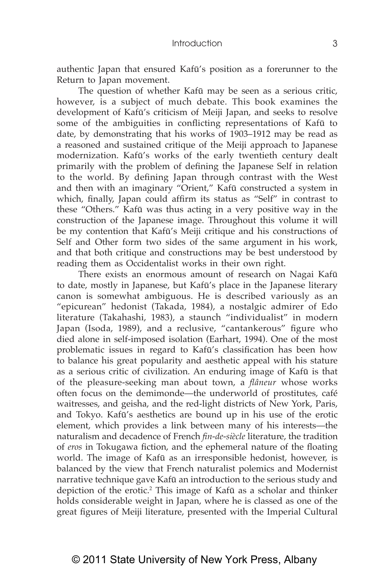authentic Japan that ensured Kafū's position as a forerunner to the Return to Japan movement.

The question of whether Kafū may be seen as a serious critic, however, is a subject of much debate. This book examines the development of Kafū's criticism of Meiji Japan, and seeks to resolve some of the ambiguities in conflicting representations of Kafū to date, by demonstrating that his works of 1903–1912 may be read as a reasoned and sustained critique of the Meiji approach to Japanese modernization. Kafū's works of the early twentieth century dealt primarily with the problem of defining the Japanese Self in relation to the world. By defining Japan through contrast with the West and then with an imaginary "Orient," Kafū constructed a system in which, finally, Japan could affirm its status as "Self" in contrast to these "Others." Kafū was thus acting in a very positive way in the construction of the Japanese image. Throughout this volume it will be my contention that Kafū's Meiji critique and his constructions of Self and Other form two sides of the same argument in his work, and that both critique and constructions may be best understood by reading them as Occidentalist works in their own right.

There exists an enormous amount of research on Nagai Kafū to date, mostly in Japanese, but Kafū's place in the Japanese literary canon is somewhat ambiguous. He is described variously as an "epicurean" hedonist (Takada, 1984), a nostalgic admirer of Edo literature (Takahashi, 1983), a staunch "individualist" in modern Japan (Isoda, 1989), and a reclusive, "cantankerous" figure who died alone in self-imposed isolation (Earhart, 1994). One of the most problematic issues in regard to Kafū's classification has been how to balance his great popularity and aesthetic appeal with his stature as a serious critic of civilization. An enduring image of Kafū is that of the pleasure-seeking man about town, a *flâneur* whose works often focus on the demimonde—the underworld of prostitutes, café waitresses, and geisha, and the red-light districts of New York, Paris, and Tokyo. Kafū's aesthetics are bound up in his use of the erotic element, which provides a link between many of his interests—the naturalism and decadence of French *fin-de-siècle* literature, the tradition of *eros* in Tokugawa fiction, and the ephemeral nature of the floating world. The image of Kafū as an irresponsible hedonist, however, is balanced by the view that French naturalist polemics and Modernist narrative technique gave Kafū an introduction to the serious study and depiction of the erotic.<sup>2</sup> This image of Kafū as a scholar and thinker holds considerable weight in Japan, where he is classed as one of the great figures of Meiji literature, presented with the Imperial Cultural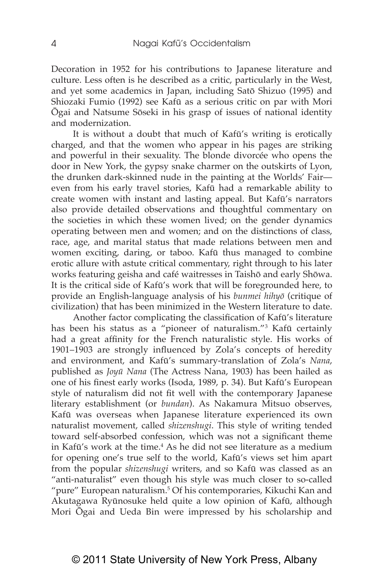Decoration in 1952 for his contributions to Japanese literature and culture. Less often is he described as a critic, particularly in the West, and yet some academics in Japan, including Satō Shizuo (1995) and Shiozaki Fumio (1992) see Kafū as a serious critic on par with Mori Ōgai and Natsume Sōseki in his grasp of issues of national identity and modernization.

It is without a doubt that much of Kafū's writing is erotically charged, and that the women who appear in his pages are striking and powerful in their sexuality. The blonde divorcée who opens the door in New York, the gypsy snake charmer on the outskirts of Lyon, the drunken dark-skinned nude in the painting at the Worlds' Fair even from his early travel stories, Kafū had a remarkable ability to create women with instant and lasting appeal. But Kafū's narrators also provide detailed observations and thoughtful commentary on the societies in which these women lived; on the gender dynamics operating between men and women; and on the distinctions of class, race, age, and marital status that made relations between men and women exciting, daring, or taboo. Kafū thus managed to combine erotic allure with astute critical commentary, right through to his later works featuring geisha and café waitresses in Taishō and early Shōwa. It is the critical side of Kafū's work that will be foregrounded here, to provide an English-language analysis of his *bunmei hihyō* (critique of civilization) that has been minimized in the Western literature to date.

Another factor complicating the classification of Kafū's literature has been his status as a "pioneer of naturalism."<sup>3</sup> Kafū certainly had a great affinity for the French naturalistic style. His works of 1901–1903 are strongly influenced by Zola's concepts of heredity and environment, and Kafū's summary-translation of Zola's *Nana*, published as *Joyū Nana* (The Actress Nana, 1903) has been hailed as one of his finest early works (Isoda, 1989, p. 34). But Kafū's European style of naturalism did not fit well with the contemporary Japanese literary establishment (or *bundan*). As Nakamura Mitsuo observes, Kafū was overseas when Japanese literature experienced its own naturalist movement, called *shizenshugi*. This style of writing tended toward self-absorbed confession, which was not a significant theme in Kafū's work at the time.<sup>4</sup> As he did not see literature as a medium for opening one's true self to the world, Kafū's views set him apart from the popular *shizenshugi* writers, and so Kafū was classed as an "anti-naturalist" even though his style was much closer to so-called "pure" European naturalism.5 Of his contemporaries, Kikuchi Kan and Akutagawa Ryūnosuke held quite a low opinion of Kafū, although Mori Ōgai and Ueda Bin were impressed by his scholarship and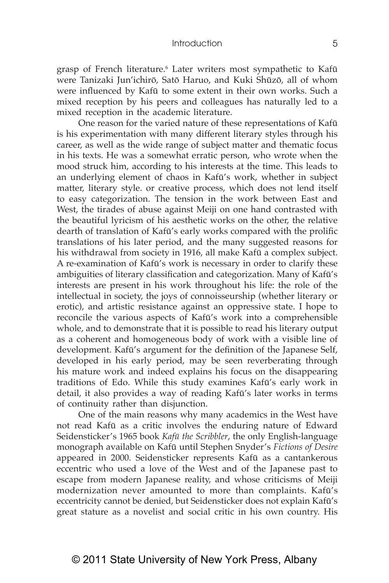grasp of French literature.<sup>6</sup> Later writers most sympathetic to Kafū were Tanizaki Jun'ichirō, Satō Haruo, and Kuki Shūzō, all of whom were influenced by Kafū to some extent in their own works. Such a mixed reception by his peers and colleagues has naturally led to a mixed reception in the academic literature.

One reason for the varied nature of these representations of Kafū is his experimentation with many different literary styles through his career, as well as the wide range of subject matter and thematic focus in his texts. He was a somewhat erratic person, who wrote when the mood struck him, according to his interests at the time. This leads to an underlying element of chaos in Kafū's work, whether in subject matter, literary style. or creative process, which does not lend itself to easy categorization. The tension in the work between East and West, the tirades of abuse against Meiji on one hand contrasted with the beautiful lyricism of his aesthetic works on the other, the relative dearth of translation of Kafū's early works compared with the prolific translations of his later period, and the many suggested reasons for his withdrawal from society in 1916, all make Kafū a complex subject. A re-examination of Kafū's work is necessary in order to clarify these ambiguities of literary classification and categorization. Many of Kafū's interests are present in his work throughout his life: the role of the intellectual in society, the joys of connoisseurship (whether literary or erotic), and artistic resistance against an oppressive state. I hope to reconcile the various aspects of Kafū's work into a comprehensible whole, and to demonstrate that it is possible to read his literary output as a coherent and homogeneous body of work with a visible line of development. Kafū's argument for the definition of the Japanese Self, developed in his early period, may be seen reverberating through his mature work and indeed explains his focus on the disappearing traditions of Edo. While this study examines Kafū's early work in detail, it also provides a way of reading Kafū's later works in terms of continuity rather than disjunction.

One of the main reasons why many academics in the West have not read Kafū as a critic involves the enduring nature of Edward Seidensticker's 1965 book *Kafū the Scribbler*, the only English-language monograph available on Kafū until Stephen Snyder's *Fictions of Desire* appeared in 2000. Seidensticker represents Kafū as a cantankerous eccentric who used a love of the West and of the Japanese past to escape from modern Japanese reality, and whose criticisms of Meiji modernization never amounted to more than complaints. Kafū's eccentricity cannot be denied, but Seidensticker does not explain Kafū's great stature as a novelist and social critic in his own country. His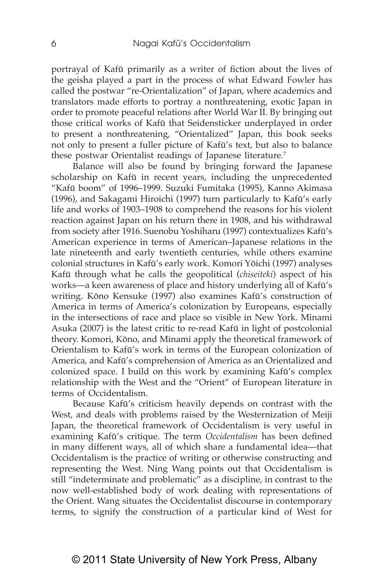portrayal of Kafū primarily as a writer of fiction about the lives of the geisha played a part in the process of what Edward Fowler has called the postwar "re-Orientalization" of Japan, where academics and translators made efforts to portray a nonthreatening, exotic Japan in order to promote peaceful relations after World War II. By bringing out those critical works of Kafū that Seidensticker underplayed in order to present a nonthreatening, "Orientalized" Japan, this book seeks not only to present a fuller picture of Kafū's text, but also to balance these postwar Orientalist readings of Japanese literature.<sup>7</sup>

Balance will also be found by bringing forward the Japanese scholarship on Kafū in recent years, including the unprecedented "Kafū boom" of 1996–1999. Suzuki Fumitaka (1995), Kanno Akimasa (1996), and Sakagami Hiroichi (1997) turn particularly to Kafū's early life and works of 1903–1908 to comprehend the reasons for his violent reaction against Japan on his return there in 1908, and his withdrawal from society after 1916. Suenobu Yoshiharu (1997) contextualizes Kafū's American experience in terms of American–Japanese relations in the late nineteenth and early twentieth centuries, while others examine colonial structures in Kafū's early work. Komori Yōichi (1997) analyses Kafū through what he calls the geopolitical (*chiseiteki*) aspect of his works—a keen awareness of place and history underlying all of Kafū's writing. Kōno Kensuke (1997) also examines Kafū's construction of America in terms of America's colonization by Europeans, especially in the intersections of race and place so visible in New York. Minami Asuka (2007) is the latest critic to re-read Kafū in light of postcolonial theory. Komori, Kōno, and Minami apply the theoretical framework of Orientalism to Kafū's work in terms of the European colonization of America, and Kafū's comprehension of America as an Orientalized and colonized space. I build on this work by examining Kafū's complex relationship with the West and the "Orient" of European literature in terms of Occidentalism.

Because Kafū's criticism heavily depends on contrast with the West, and deals with problems raised by the Westernization of Meiji Japan, the theoretical framework of Occidentalism is very useful in examining Kafū's critique. The term *Occidentalism* has been defined in many different ways, all of which share a fundamental idea—that Occidentalism is the practice of writing or otherwise constructing and representing the West. Ning Wang points out that Occidentalism is still "indeterminate and problematic" as a discipline, in contrast to the now well-established body of work dealing with representations of the Orient. Wang situates the Occidentalist discourse in contemporary terms, to signify the construction of a particular kind of West for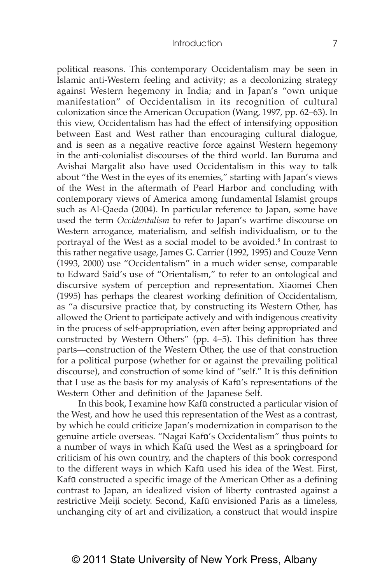political reasons. This contemporary Occidentalism may be seen in Islamic anti-Western feeling and activity; as a decolonizing strategy against Western hegemony in India; and in Japan's "own unique manifestation" of Occidentalism in its recognition of cultural colonization since the American Occupation (Wang, 1997, pp. 62–63). In this view, Occidentalism has had the effect of intensifying opposition between East and West rather than encouraging cultural dialogue, and is seen as a negative reactive force against Western hegemony in the anti-colonialist discourses of the third world. Ian Buruma and Avishai Margalit also have used Occidentalism in this way to talk about "the West in the eyes of its enemies," starting with Japan's views of the West in the aftermath of Pearl Harbor and concluding with contemporary views of America among fundamental Islamist groups such as Al-Qaeda (2004). In particular reference to Japan, some have used the term *Occidentalism* to refer to Japan's wartime discourse on Western arrogance, materialism, and selfish individualism, or to the portrayal of the West as a social model to be avoided.<sup>8</sup> In contrast to this rather negative usage, James G. Carrier (1992, 1995) and Couze Venn (1993, 2000) use "Occidentalism" in a much wider sense, comparable to Edward Said's use of "Orientalism," to refer to an ontological and discursive system of perception and representation. Xiaomei Chen (1995) has perhaps the clearest working definition of Occidentalism, as "a discursive practice that, by constructing its Western Other, has allowed the Orient to participate actively and with indigenous creativity in the process of self-appropriation, even after being appropriated and constructed by Western Others" (pp. 4–5). This definition has three parts—construction of the Western Other, the use of that construction for a political purpose (whether for or against the prevailing political discourse), and construction of some kind of "self." It is this definition that I use as the basis for my analysis of Kafū's representations of the Western Other and definition of the Japanese Self.

In this book, I examine how Kafū constructed a particular vision of the West, and how he used this representation of the West as a contrast, by which he could criticize Japan's modernization in comparison to the genuine article overseas. "Nagai Kafū's Occidentalism" thus points to a number of ways in which Kafū used the West as a springboard for criticism of his own country, and the chapters of this book correspond to the different ways in which Kafū used his idea of the West. First, Kafū constructed a specific image of the American Other as a defining contrast to Japan, an idealized vision of liberty contrasted against a restrictive Meiji society. Second, Kafū envisioned Paris as a timeless, unchanging city of art and civilization, a construct that would inspire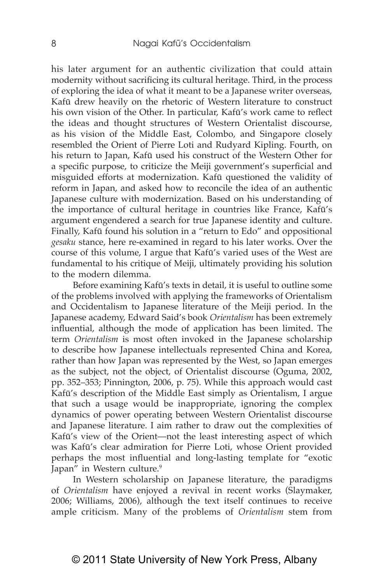his later argument for an authentic civilization that could attain modernity without sacrificing its cultural heritage. Third, in the process of exploring the idea of what it meant to be a Japanese writer overseas, Kafū drew heavily on the rhetoric of Western literature to construct his own vision of the Other. In particular, Kafū's work came to reflect the ideas and thought structures of Western Orientalist discourse, as his vision of the Middle East, Colombo, and Singapore closely resembled the Orient of Pierre Loti and Rudyard Kipling. Fourth, on his return to Japan, Kafū used his construct of the Western Other for a specific purpose, to criticize the Meiji government's superficial and misguided efforts at modernization. Kafū questioned the validity of reform in Japan, and asked how to reconcile the idea of an authentic Japanese culture with modernization. Based on his understanding of the importance of cultural heritage in countries like France, Kafū's argument engendered a search for true Japanese identity and culture. Finally, Kafū found his solution in a "return to Edo" and oppositional *gesaku* stance, here re-examined in regard to his later works. Over the course of this volume, I argue that Kafū's varied uses of the West are fundamental to his critique of Meiji, ultimately providing his solution to the modern dilemma.

Before examining Kafū's texts in detail, it is useful to outline some of the problems involved with applying the frameworks of Orientalism and Occidentalism to Japanese literature of the Meiji period. In the Japanese academy, Edward Said's book *Orientalism* has been extremely influential, although the mode of application has been limited. The term *Orientalism* is most often invoked in the Japanese scholarship to describe how Japanese intellectuals represented China and Korea, rather than how Japan was represented by the West, so Japan emerges as the subject, not the object, of Orientalist discourse (Oguma, 2002, pp. 352–353; Pinnington, 2006, p. 75). While this approach would cast Kafū's description of the Middle East simply as Orientalism, I argue that such a usage would be inappropriate, ignoring the complex dynamics of power operating between Western Orientalist discourse and Japanese literature. I aim rather to draw out the complexities of Kafū's view of the Orient—not the least interesting aspect of which was Kafū's clear admiration for Pierre Loti, whose Orient provided perhaps the most influential and long-lasting template for "exotic Japan" in Western culture.<sup>9</sup>

In Western scholarship on Japanese literature, the paradigms of *Orientalism* have enjoyed a revival in recent works (Slaymaker, 2006; Williams, 2006), although the text itself continues to receive ample criticism. Many of the problems of *Orientalism* stem from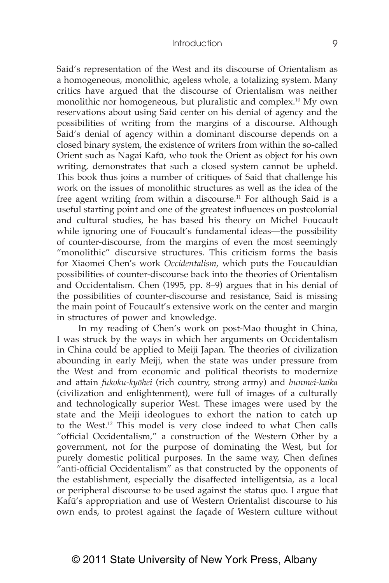Said's representation of the West and its discourse of Orientalism as a homogeneous, monolithic, ageless whole, a totalizing system. Many critics have argued that the discourse of Orientalism was neither monolithic nor homogeneous, but pluralistic and complex.10 My own reservations about using Said center on his denial of agency and the possibilities of writing from the margins of a discourse. Although Said's denial of agency within a dominant discourse depends on a closed binary system, the existence of writers from within the so-called Orient such as Nagai Kafū, who took the Orient as object for his own writing, demonstrates that such a closed system cannot be upheld. This book thus joins a number of critiques of Said that challenge his work on the issues of monolithic structures as well as the idea of the free agent writing from within a discourse.<sup>11</sup> For although Said is a useful starting point and one of the greatest influences on postcolonial and cultural studies, he has based his theory on Michel Foucault while ignoring one of Foucault's fundamental ideas—the possibility of counter-discourse, from the margins of even the most seemingly "monolithic" discursive structures. This criticism forms the basis for Xiaomei Chen's work *Occidentalism*, which puts the Foucauldian possibilities of counter-discourse back into the theories of Orientalism and Occidentalism. Chen (1995, pp. 8–9) argues that in his denial of the possibilities of counter-discourse and resistance, Said is missing the main point of Foucault's extensive work on the center and margin in structures of power and knowledge.

In my reading of Chen's work on post-Mao thought in China, I was struck by the ways in which her arguments on Occidentalism in China could be applied to Meiji Japan. The theories of civilization abounding in early Meiji, when the state was under pressure from the West and from economic and political theorists to modernize and attain *fukoku-kyōhei* (rich country, strong army) and *bunmei-kaika* (civilization and enlightenment), were full of images of a culturally and technologically superior West. These images were used by the state and the Meiji ideologues to exhort the nation to catch up to the West.12 This model is very close indeed to what Chen calls "official Occidentalism," a construction of the Western Other by a government, not for the purpose of dominating the West, but for purely domestic political purposes. In the same way, Chen defines "anti-official Occidentalism" as that constructed by the opponents of the establishment, especially the disaffected intelligentsia, as a local or peripheral discourse to be used against the status quo. I argue that Kafū's appropriation and use of Western Orientalist discourse to his own ends, to protest against the façade of Western culture without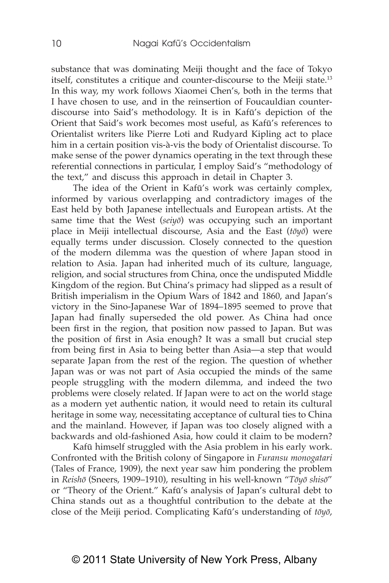substance that was dominating Meiji thought and the face of Tokyo itself, constitutes a critique and counter-discourse to the Meiji state.<sup>13</sup> In this way, my work follows Xiaomei Chen's, both in the terms that I have chosen to use, and in the reinsertion of Foucauldian counterdiscourse into Said's methodology. It is in Kafū's depiction of the Orient that Said's work becomes most useful, as Kafū's references to Orientalist writers like Pierre Loti and Rudyard Kipling act to place him in a certain position vis-à-vis the body of Orientalist discourse. To make sense of the power dynamics operating in the text through these referential connections in particular, I employ Said's "methodology of the text," and discuss this approach in detail in Chapter 3.

The idea of the Orient in Kafū's work was certainly complex, informed by various overlapping and contradictory images of the East held by both Japanese intellectuals and European artists. At the same time that the West (*seiy*<sup> $\bar{o}$ </sup>) was occupying such an important place in Meiji intellectual discourse, Asia and the East (*tōyō*) were equally terms under discussion. Closely connected to the question of the modern dilemma was the question of where Japan stood in relation to Asia. Japan had inherited much of its culture, language, religion, and social structures from China, once the undisputed Middle Kingdom of the region. But China's primacy had slipped as a result of British imperialism in the Opium Wars of 1842 and 1860, and Japan's victory in the Sino-Japanese War of 1894–1895 seemed to prove that Japan had finally superseded the old power. As China had once been first in the region, that position now passed to Japan. But was the position of first in Asia enough? It was a small but crucial step from being first in Asia to being better than Asia—a step that would separate Japan from the rest of the region. The question of whether Japan was or was not part of Asia occupied the minds of the same people struggling with the modern dilemma, and indeed the two problems were closely related. If Japan were to act on the world stage as a modern yet authentic nation, it would need to retain its cultural heritage in some way, necessitating acceptance of cultural ties to China and the mainland. However, if Japan was too closely aligned with a backwards and old-fashioned Asia, how could it claim to be modern?

Kafū himself struggled with the Asia problem in his early work. Confronted with the British colony of Singapore in *Furansu monogatari* (Tales of France, 1909), the next year saw him pondering the problem in *Reishō* (Sneers, 1909–1910), resulting in his well-known "*Tōyō shisō*" or "Theory of the Orient." Kafū's analysis of Japan's cultural debt to China stands out as a thoughtful contribution to the debate at the close of the Meiji period. Complicating Kafū's understanding of *tōyō*,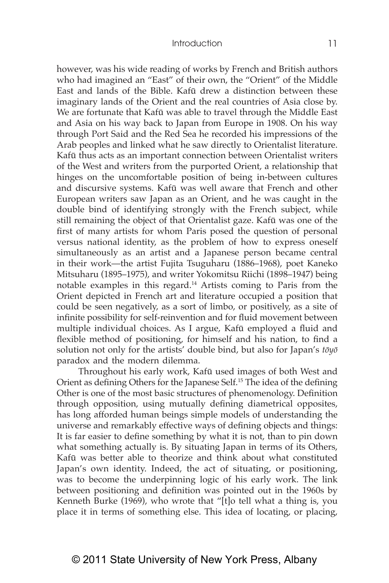however, was his wide reading of works by French and British authors who had imagined an "East" of their own, the "Orient" of the Middle East and lands of the Bible. Kafū drew a distinction between these imaginary lands of the Orient and the real countries of Asia close by. We are fortunate that Kafū was able to travel through the Middle East and Asia on his way back to Japan from Europe in 1908. On his way through Port Said and the Red Sea he recorded his impressions of the Arab peoples and linked what he saw directly to Orientalist literature. Kafū thus acts as an important connection between Orientalist writers of the West and writers from the purported Orient, a relationship that hinges on the uncomfortable position of being in-between cultures and discursive systems. Kafū was well aware that French and other European writers saw Japan as an Orient, and he was caught in the double bind of identifying strongly with the French subject, while still remaining the object of that Orientalist gaze. Kafū was one of the first of many artists for whom Paris posed the question of personal versus national identity, as the problem of how to express oneself simultaneously as an artist and a Japanese person became central in their work—the artist Fujita Tsuguharu (1886–1968), poet Kaneko Mitsuharu (1895–1975), and writer Yokomitsu Riichi (1898–1947) being notable examples in this regard.14 Artists coming to Paris from the Orient depicted in French art and literature occupied a position that could be seen negatively, as a sort of limbo, or positively, as a site of infinite possibility for self-reinvention and for fluid movement between multiple individual choices. As I argue, Kafū employed a fluid and flexible method of positioning, for himself and his nation, to find a solution not only for the artists' double bind, but also for Japan's *tōyō*  paradox and the modern dilemma.

Throughout his early work, Kafū used images of both West and Orient as defining Others for the Japanese Self.<sup>15</sup> The idea of the defining Other is one of the most basic structures of phenomenology. Definition through opposition, using mutually defining diametrical opposites, has long afforded human beings simple models of understanding the universe and remarkably effective ways of defining objects and things: It is far easier to define something by what it is not, than to pin down what something actually is. By situating Japan in terms of its Others, Kafū was better able to theorize and think about what constituted Japan's own identity. Indeed, the act of situating, or positioning, was to become the underpinning logic of his early work. The link between positioning and definition was pointed out in the 1960s by Kenneth Burke (1969), who wrote that "[t]o tell what a thing is, you place it in terms of something else. This idea of locating, or placing,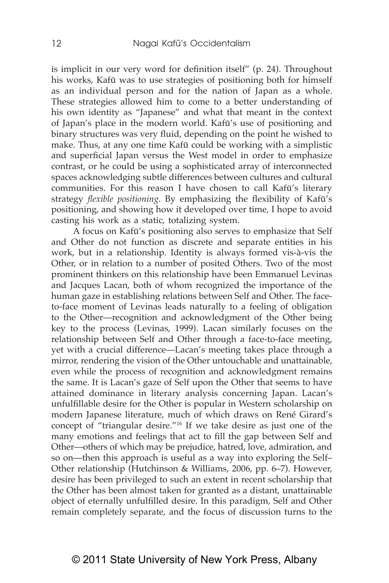is implicit in our very word for definition itself" (p. 24). Throughout his works, Kafū was to use strategies of positioning both for himself as an individual person and for the nation of Japan as a whole. These strategies allowed him to come to a better understanding of his own identity as "Japanese" and what that meant in the context of Japan's place in the modern world. Kafū's use of positioning and binary structures was very fluid, depending on the point he wished to make. Thus, at any one time Kafū could be working with a simplistic and superficial Japan versus the West model in order to emphasize contrast, or he could be using a sophisticated array of interconnected spaces acknowledging subtle differences between cultures and cultural communities. For this reason I have chosen to call Kafū's literary strategy *flexible positioning*. By emphasizing the flexibility of Kafū's positioning, and showing how it developed over time, I hope to avoid casting his work as a static, totalizing system.

A focus on Kafū's positioning also serves to emphasize that Self and Other do not function as discrete and separate entities in his work, but in a relationship. Identity is always formed vis-à-vis the Other, or in relation to a number of posited Others. Two of the most prominent thinkers on this relationship have been Emmanuel Levinas and Jacques Lacan, both of whom recognized the importance of the human gaze in establishing relations between Self and Other. The faceto-face moment of Levinas leads naturally to a feeling of obligation to the Other—recognition and acknowledgment of the Other being key to the process (Levinas, 1999). Lacan similarly focuses on the relationship between Self and Other through a face-to-face meeting, yet with a crucial difference—Lacan's meeting takes place through a mirror, rendering the vision of the Other untouchable and unattainable, even while the process of recognition and acknowledgment remains the same. It is Lacan's gaze of Self upon the Other that seems to have attained dominance in literary analysis concerning Japan. Lacan's unfulfillable desire for the Other is popular in Western scholarship on modern Japanese literature, much of which draws on René Girard's concept of "triangular desire."16 If we take desire as just one of the many emotions and feelings that act to fill the gap between Self and Other—others of which may be prejudice, hatred, love, admiration, and so on—then this approach is useful as a way into exploring the Self– Other relationship (Hutchinson & Williams, 2006, pp. 6–7). However, desire has been privileged to such an extent in recent scholarship that the Other has been almost taken for granted as a distant, unattainable object of eternally unfulfilled desire. In this paradigm, Self and Other remain completely separate, and the focus of discussion turns to the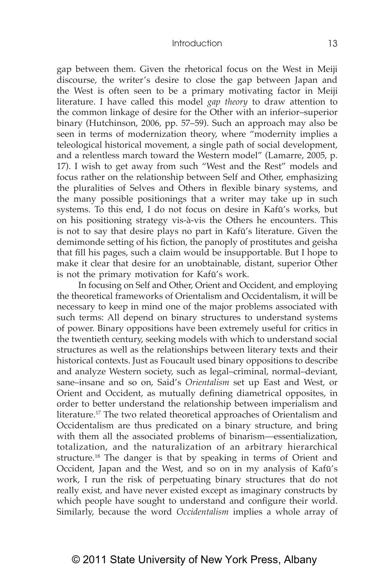gap between them. Given the rhetorical focus on the West in Meiji discourse, the writer's desire to close the gap between Japan and the West is often seen to be a primary motivating factor in Meiji literature. I have called this model *gap theory* to draw attention to the common linkage of desire for the Other with an inferior–superior binary (Hutchinson, 2006, pp. 57–59). Such an approach may also be seen in terms of modernization theory, where "modernity implies a teleological historical movement, a single path of social development, and a relentless march toward the Western model" (Lamarre, 2005, p. 17). I wish to get away from such "West and the Rest" models and focus rather on the relationship between Self and Other, emphasizing the pluralities of Selves and Others in flexible binary systems, and the many possible positionings that a writer may take up in such systems. To this end, I do not focus on desire in Kafū's works, but on his positioning strategy vis-à-vis the Others he encounters. This is not to say that desire plays no part in Kafū's literature. Given the demimonde setting of his fiction, the panoply of prostitutes and geisha that fill his pages, such a claim would be insupportable. But I hope to make it clear that desire for an unobtainable, distant, superior Other is not the primary motivation for Kafū's work.

In focusing on Self and Other, Orient and Occident, and employing the theoretical frameworks of Orientalism and Occidentalism, it will be necessary to keep in mind one of the major problems associated with such terms: All depend on binary structures to understand systems of power. Binary oppositions have been extremely useful for critics in the twentieth century, seeking models with which to understand social structures as well as the relationships between literary texts and their historical contexts. Just as Foucault used binary oppositions to describe and analyze Western society, such as legal–criminal, normal–deviant, sane–insane and so on, Said's *Orientalism* set up East and West, or Orient and Occident, as mutually defining diametrical opposites, in order to better understand the relationship between imperialism and literature.<sup>17</sup> The two related theoretical approaches of Orientalism and Occidentalism are thus predicated on a binary structure, and bring with them all the associated problems of binarism—essentialization, totalization, and the naturalization of an arbitrary hierarchical structure.18 The danger is that by speaking in terms of Orient and Occident, Japan and the West, and so on in my analysis of Kafū's work, I run the risk of perpetuating binary structures that do not really exist, and have never existed except as imaginary constructs by which people have sought to understand and configure their world. Similarly, because the word *Occidentalism* implies a whole array of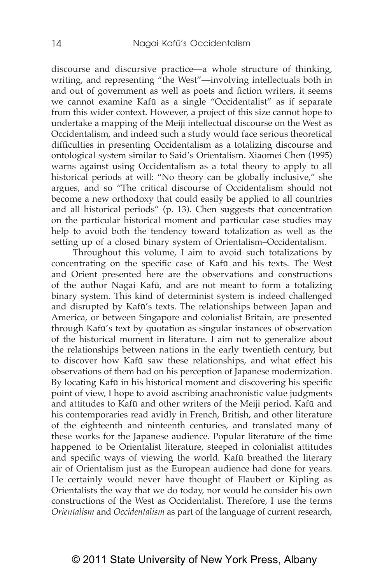discourse and discursive practice—a whole structure of thinking, writing, and representing "the West"—involving intellectuals both in and out of government as well as poets and fiction writers, it seems we cannot examine Kafū as a single "Occidentalist" as if separate from this wider context. However, a project of this size cannot hope to undertake a mapping of the Meiji intellectual discourse on the West as Occidentalism, and indeed such a study would face serious theoretical difficulties in presenting Occidentalism as a totalizing discourse and ontological system similar to Said's Orientalism. Xiaomei Chen (1995) warns against using Occidentalism as a total theory to apply to all historical periods at will: "No theory can be globally inclusive," she argues, and so "The critical discourse of Occidentalism should not become a new orthodoxy that could easily be applied to all countries and all historical periods" (p. 13). Chen suggests that concentration on the particular historical moment and particular case studies may help to avoid both the tendency toward totalization as well as the setting up of a closed binary system of Orientalism–Occidentalism.

Throughout this volume, I aim to avoid such totalizations by concentrating on the specific case of Kafū and his texts. The West and Orient presented here are the observations and constructions of the author Nagai Kafū, and are not meant to form a totalizing binary system. This kind of determinist system is indeed challenged and disrupted by Kafū's texts. The relationships between Japan and America, or between Singapore and colonialist Britain, are presented through Kafū's text by quotation as singular instances of observation of the historical moment in literature. I aim not to generalize about the relationships between nations in the early twentieth century, but to discover how Kafū saw these relationships, and what effect his observations of them had on his perception of Japanese modernization. By locating Kafū in his historical moment and discovering his specific point of view, I hope to avoid ascribing anachronistic value judgments and attitudes to Kafū and other writers of the Meiji period. Kafū and his contemporaries read avidly in French, British, and other literature of the eighteenth and ninteenth centuries, and translated many of these works for the Japanese audience. Popular literature of the time happened to be Orientalist literature, steeped in colonialist attitudes and specific ways of viewing the world. Kafū breathed the literary air of Orientalism just as the European audience had done for years. He certainly would never have thought of Flaubert or Kipling as Orientalists the way that we do today, nor would he consider his own constructions of the West as Occidentalist. Therefore, I use the terms *Orientalism* and *Occidentalism* as part of the language of current research,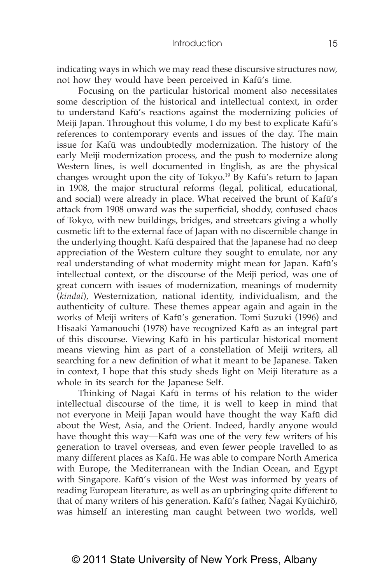indicating ways in which we may read these discursive structures now, not how they would have been perceived in Kafū's time.

Focusing on the particular historical moment also necessitates some description of the historical and intellectual context, in order to understand Kafū's reactions against the modernizing policies of Meiji Japan. Throughout this volume, I do my best to explicate Kafū's references to contemporary events and issues of the day. The main issue for Kafū was undoubtedly modernization. The history of the early Meiji modernization process, and the push to modernize along Western lines, is well documented in English, as are the physical changes wrought upon the city of Tokyo.19 By Kafū's return to Japan in 1908, the major structural reforms (legal, political, educational, and social) were already in place. What received the brunt of Kafū's attack from 1908 onward was the superficial, shoddy, confused chaos of Tokyo, with new buildings, bridges, and streetcars giving a wholly cosmetic lift to the external face of Japan with no discernible change in the underlying thought. Kafū despaired that the Japanese had no deep appreciation of the Western culture they sought to emulate, nor any real understanding of what modernity might mean for Japan. Kafū's intellectual context, or the discourse of the Meiji period, was one of great concern with issues of modernization, meanings of modernity (*kindai*), Westernization, national identity, individualism, and the authenticity of culture. These themes appear again and again in the works of Meiji writers of Kafū's generation. Tomi Suzuki (1996) and Hisaaki Yamanouchi (1978) have recognized Kafū as an integral part of this discourse. Viewing Kafū in his particular historical moment means viewing him as part of a constellation of Meiji writers, all searching for a new definition of what it meant to be Japanese. Taken in context, I hope that this study sheds light on Meiji literature as a whole in its search for the Japanese Self.

Thinking of Nagai Kafū in terms of his relation to the wider intellectual discourse of the time, it is well to keep in mind that not everyone in Meiji Japan would have thought the way Kafū did about the West, Asia, and the Orient. Indeed, hardly anyone would have thought this way—Kafū was one of the very few writers of his generation to travel overseas, and even fewer people travelled to as many different places as Kafū. He was able to compare North America with Europe, the Mediterranean with the Indian Ocean, and Egypt with Singapore. Kafū's vision of the West was informed by years of reading European literature, as well as an upbringing quite different to that of many writers of his generation. Kafū's father, Nagai Kyūichirō, was himself an interesting man caught between two worlds, well